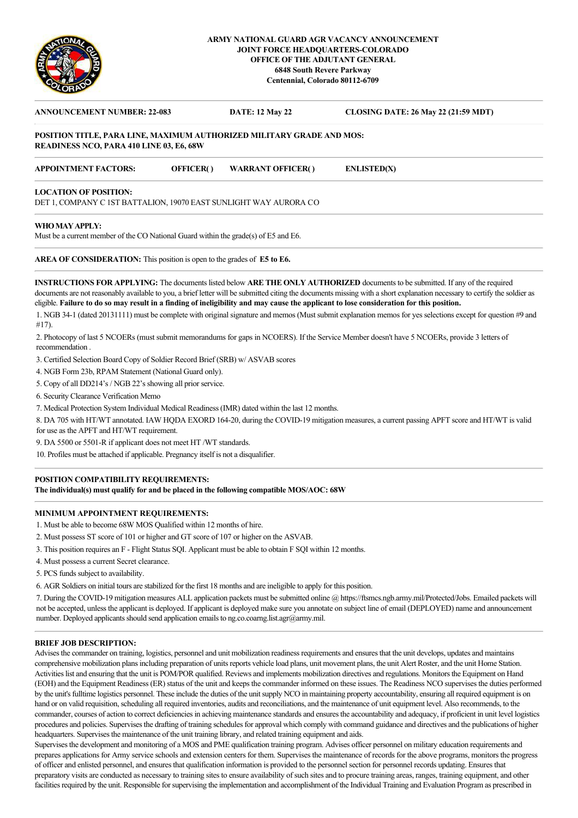

### **ARMY NATIONAL GUARD AGR VACANCY ANNOUNCEMENT JOINT FORCE HEADQUARTERS-COLORADO OFFICE OF THE ADJUTANT GENERAL 6848 South Revere Parkway Centennial, Colorado 80112-6709**

# **ANNOUNCEMENT NUMBER: 22-083 DATE: 12 May 22 CLOSING DATE: 26 May 22 (21:59 MDT) POSITION TITLE, PARA LINE, MAXIMUM AUTHORIZED MILITARY GRADE AND MOS: READINESS NCO, PARA 410 LINE 03, E6, 68W APPOINTMENT FACTORS: OFFICER( ) WARRANT OFFICER( ) ENLISTED(X) LOCATION OF POSITION:**  DET 1, COMPANY C 1ST BATTALION, 19070 EAST SUNLIGHT WAY AURORA CO **WHO MAY APPLY:**

Must be a current member of the CO National Guard within the grade(s) of E5 and E6.

**AREA OF CONSIDERATION:** This position is open to the grades of **E5 to E6.**

**INSTRUCTIONS FOR APPLYING:** The documents listed below **ARE THE ONLY AUTHORIZED** documents to be submitted. If any of the required documents are not reasonably available to you, a brief letter will be submitted citing the documents missing with a short explanation necessary to certify the soldier as eligible. **Failure to do so may result in a finding of ineligibility and may cause the applicant to lose consideration for this position.**

1. NGB 34-1 (dated 20131111) must be complete with original signature and memos (Must submit explanation memos for yes selections except for question #9 and #17).

2. Photocopy of last 5 NCOERs (must submit memorandums for gaps in NCOERS). If the Service Member doesn't have 5 NCOERs, provide 3 letters of recommendation .

3. Certified Selection Board Copy of Soldier Record Brief (SRB) w/ ASVAB scores

4. NGB Form 23b, RPAM Statement (National Guard only).

5. Copy of all DD214's / NGB 22's showing all prior service.

6. Security Clearance Verification Memo

7. Medical Protection System Individual Medical Readiness (IMR) dated within the last 12 months.

8. DA 705 with HT/WT annotated. IAW HQDA EXORD 164-20, during the COVID-19 mitigation measures, a current passing APFT score and HT/WT is valid for use as the APFT and HT/WT requirement.

9. DA 5500 or 5501-R if applicant does not meet HT /WT standards.

10. Profiles must be attached if applicable. Pregnancy itself is not a disqualifier.

## **POSITION COMPATIBILITY REQUIREMENTS:**

**The individual(s) must qualify for and be placed in the following compatible MOS/AOC: 68W**

#### **MINIMUM APPOINTMENT REQUIREMENTS:**

1. Must be able to become 68W MOS Qualified within 12 months of hire.

- 2. Must possess ST score of 101 or higher and GT score of 107 or higher on the ASVAB.
- 3. This position requires an F Flight Status SQI. Applicant must be able to obtain F SQI within 12 months.
- 4. Must possess a current Secret clearance.

5. PCS funds subject to availability.

6. AGR Soldiers on initial tours are stabilized for the first 18 months and are ineligible to apply for this position.

7. During the COVID-19 mitigation measures ALL application packets must be submitted online @ https://ftsmcs.ngb.army.mil/Protected/Jobs. Emailed packets will not be accepted, unless the applicant is deployed. If applicant is deployed make sure you annotate on subject line of email (DEPLOYED) name and announcement number. Deployed applicants should send application emails to ng.co.coarng.list.agr@army.mil.

#### **BRIEF JOB DESCRIPTION:**

Advises the commander on training, logistics, personnel and unit mobilization readiness requirements and ensures that the unit develops, updates and maintains comprehensive mobilization plans including preparation of units reports vehicle load plans, unit movement plans, the unit Alert Roster, and the unit Home Station. Activities list and ensuring that the unit is POM/POR qualified. Reviews and implements mobilization directives and regulations. Monitors the Equipment on Hand (EOH) and the Equipment Readiness (ER) status of the unit and keeps the commander informed on these issues. The Readiness NCO supervises the duties performed by the unit's fulltime logistics personnel. These include the duties of the unit supply NCO in maintaining property accountability, ensuring all required equipment is on hand or on valid requisition, scheduling all required inventories, audits and reconciliations, and the maintenance of unit equipment level. Also recommends, to the commander, courses of action to correct deficiencies in achieving maintenance standards and ensures the accountability and adequacy, if proficient in unit level logistics procedures and policies. Supervises the drafting of training schedules for approval which comply with command guidance and directives and the publications of higher headquarters. Supervises the maintenance of the unit training library, and related training equipment and aids.

Supervises the development and monitoring of a MOS and PME qualification training program. Advises officer personnel on military education requirements and prepares applications for Army service schools and extension centers for them. Supervises the maintenance of records for the above programs, monitors the progress of officer and enlisted personnel, and ensures that qualification information is provided to the personnel section for personnel records updating. Ensures that preparatory visits are conducted as necessary to training sites to ensure availability of such sites and to procure training areas, ranges, training equipment, and other facilities required by the unit. Responsible for supervising the implementation and accomplishment of the Individual Training and Evaluation Program as prescribed in